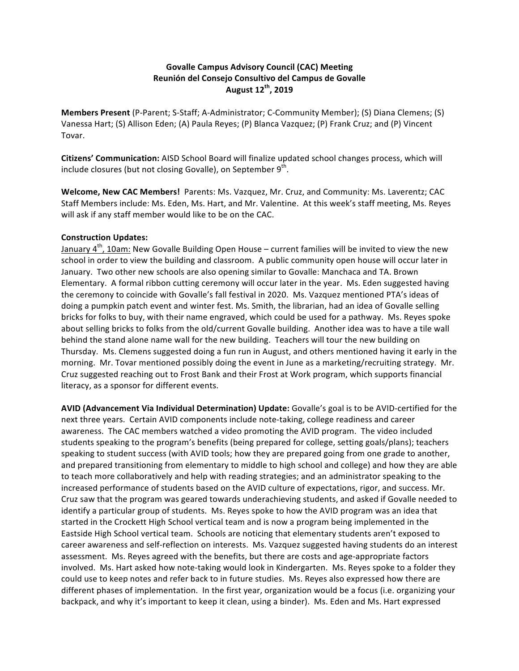# **Govalle Campus Advisory Council (CAC) Meeting Reunión del Consejo Consultivo del Campus de Govalle August 12th, 2019**

**Members Present** (P-Parent; S-Staff; A-Administrator; C-Community Member); (S) Diana Clemens; (S) Vanessa Hart; (S) Allison Eden; (A) Paula Reyes; (P) Blanca Vazquez; (P) Frank Cruz; and (P) Vincent Tovar.

**Citizens' Communication:** AISD School Board will finalize updated school changes process, which will include closures (but not closing Govalle), on September  $9<sup>th</sup>$ .

**Welcome, New CAC Members!** Parents: Ms. Vazquez, Mr. Cruz, and Community: Ms. Laverentz; CAC Staff Members include: Ms. Eden, Ms. Hart, and Mr. Valentine. At this week's staff meeting, Ms. Reyes will ask if any staff member would like to be on the CAC.

### **Construction Updates:**

January  $4<sup>th</sup>$ , 10am: New Govalle Building Open House – current families will be invited to view the new school in order to view the building and classroom. A public community open house will occur later in January. Two other new schools are also opening similar to Govalle: Manchaca and TA. Brown Elementary. A formal ribbon cutting ceremony will occur later in the year. Ms. Eden suggested having the ceremony to coincide with Govalle's fall festival in 2020. Ms. Vazquez mentioned PTA's ideas of doing a pumpkin patch event and winter fest. Ms. Smith, the librarian, had an idea of Govalle selling bricks for folks to buy, with their name engraved, which could be used for a pathway. Ms. Reyes spoke about selling bricks to folks from the old/current Govalle building. Another idea was to have a tile wall behind the stand alone name wall for the new building. Teachers will tour the new building on Thursday. Ms. Clemens suggested doing a fun run in August, and others mentioned having it early in the morning. Mr. Tovar mentioned possibly doing the event in June as a marketing/recruiting strategy. Mr. Cruz suggested reaching out to Frost Bank and their Frost at Work program, which supports financial literacy, as a sponsor for different events.

AVID (Advancement Via Individual Determination) Update: Govalle's goal is to be AVID-certified for the next three years. Certain AVID components include note-taking, college readiness and career awareness. The CAC members watched a video promoting the AVID program. The video included students speaking to the program's benefits (being prepared for college, setting goals/plans); teachers speaking to student success (with AVID tools; how they are prepared going from one grade to another, and prepared transitioning from elementary to middle to high school and college) and how they are able to teach more collaboratively and help with reading strategies; and an administrator speaking to the increased performance of students based on the AVID culture of expectations, rigor, and success. Mr. Cruz saw that the program was geared towards underachieving students, and asked if Govalle needed to identify a particular group of students. Ms. Reyes spoke to how the AVID program was an idea that started in the Crockett High School vertical team and is now a program being implemented in the Eastside High School vertical team. Schools are noticing that elementary students aren't exposed to career awareness and self-reflection on interests. Ms. Vazquez suggested having students do an interest assessment. Ms. Reyes agreed with the benefits, but there are costs and age-appropriate factors involved. Ms. Hart asked how note-taking would look in Kindergarten. Ms. Reyes spoke to a folder they could use to keep notes and refer back to in future studies. Ms. Reyes also expressed how there are different phases of implementation. In the first year, organization would be a focus (i.e. organizing your backpack, and why it's important to keep it clean, using a binder). Ms. Eden and Ms. Hart expressed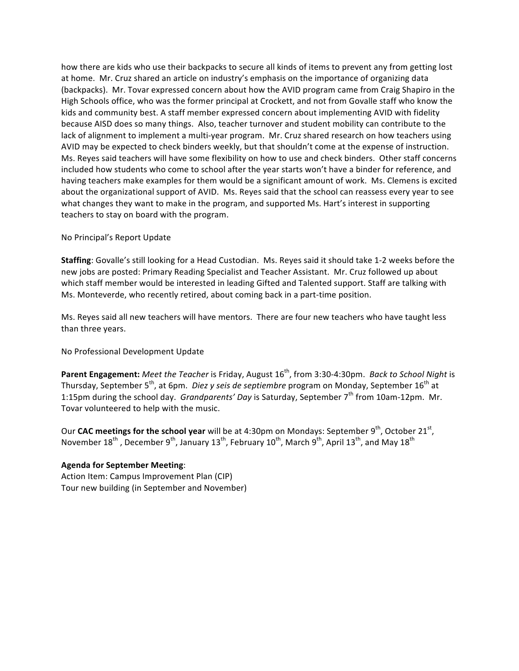how there are kids who use their backpacks to secure all kinds of items to prevent any from getting lost at home. Mr. Cruz shared an article on industry's emphasis on the importance of organizing data (backpacks). Mr. Tovar expressed concern about how the AVID program came from Craig Shapiro in the High Schools office, who was the former principal at Crockett, and not from Govalle staff who know the kids and community best. A staff member expressed concern about implementing AVID with fidelity because AISD does so many things. Also, teacher turnover and student mobility can contribute to the lack of alignment to implement a multi-year program. Mr. Cruz shared research on how teachers using AVID may be expected to check binders weekly, but that shouldn't come at the expense of instruction. Ms. Reyes said teachers will have some flexibility on how to use and check binders. Other staff concerns included how students who come to school after the year starts won't have a binder for reference, and having teachers make examples for them would be a significant amount of work. Ms. Clemens is excited about the organizational support of AVID. Ms. Reyes said that the school can reassess every year to see what changes they want to make in the program, and supported Ms. Hart's interest in supporting teachers to stay on board with the program.

### No Principal's Report Update

**Staffing**: Govalle's still looking for a Head Custodian. Ms. Reyes said it should take 1-2 weeks before the new jobs are posted: Primary Reading Specialist and Teacher Assistant. Mr. Cruz followed up about which staff member would be interested in leading Gifted and Talented support. Staff are talking with Ms. Monteverde, who recently retired, about coming back in a part-time position.

Ms. Reyes said all new teachers will have mentors. There are four new teachers who have taught less than three years.

No Professional Development Update

**Parent Engagement:** Meet the Teacher is Friday, August 16<sup>th</sup>, from 3:30-4:30pm. *Back to School Night* is Thursday, September 5<sup>th</sup>, at 6pm. *Diez y seis de septiembre* program on Monday, September 16<sup>th</sup> at 1:15pm during the school day. *Grandparents' Day* is Saturday, September 7<sup>th</sup> from 10am-12pm. Mr. Tovar volunteered to help with the music.

Our **CAC meetings for the school year** will be at 4:30pm on Mondays: September 9<sup>th</sup>, October 21<sup>st</sup>, November  $18^{th}$ , December  $9^{th}$ , January  $13^{th}$ , February  $10^{th}$ , March  $9^{th}$ , April  $13^{th}$ , and May  $18^{th}$ 

## **Agenda for September Meeting**:

Action Item: Campus Improvement Plan (CIP) Tour new building (in September and November)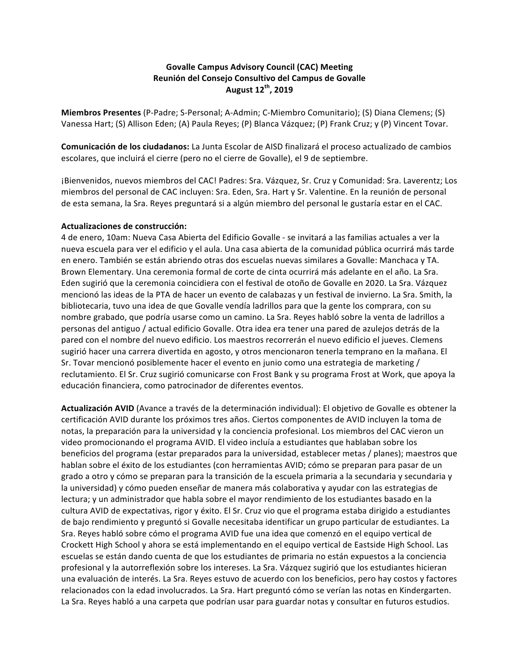# **Govalle Campus Advisory Council (CAC) Meeting Reunión del Consejo Consultivo del Campus de Govalle August 12th, 2019**

**Miembros Presentes** (P-Padre; S-Personal; A-Admin; C-Miembro Comunitario); (S) Diana Clemens; (S) Vanessa Hart; (S) Allison Eden; (A) Paula Reyes; (P) Blanca Vázquez; (P) Frank Cruz; y (P) Vincent Tovar.

**Comunicación de los ciudadanos:** La Junta Escolar de AISD finalizará el proceso actualizado de cambios escolares, que incluirá el cierre (pero no el cierre de Govalle), el 9 de septiembre.

¡Bienvenidos, nuevos miembros del CAC! Padres: Sra. Vázquez, Sr. Cruz y Comunidad: Sra. Laverentz; Los miembros del personal de CAC incluyen: Sra. Eden, Sra. Hart y Sr. Valentine. En la reunión de personal de esta semana, la Sra. Reyes preguntará si a algún miembro del personal le gustaría estar en el CAC.

### **Actualizaciones de construcción:**

4 de enero, 10am: Nueva Casa Abierta del Edificio Govalle - se invitará a las familias actuales a ver la nueva escuela para ver el edificio y el aula. Una casa abierta de la comunidad pública ocurrirá más tarde en enero. También se están abriendo otras dos escuelas nuevas similares a Govalle: Manchaca y TA. Brown Elementary. Una ceremonia formal de corte de cinta ocurrirá más adelante en el año. La Sra. Eden sugirió que la ceremonia coincidiera con el festival de otoño de Govalle en 2020. La Sra. Vázquez mencionó las ideas de la PTA de hacer un evento de calabazas y un festival de invierno. La Sra. Smith, la bibliotecaria, tuvo una idea de que Govalle vendía ladrillos para que la gente los comprara, con su nombre grabado, que podría usarse como un camino. La Sra. Reyes habló sobre la venta de ladrillos a personas del antiguo / actual edificio Govalle. Otra idea era tener una pared de azulejos detrás de la pared con el nombre del nuevo edificio. Los maestros recorrerán el nuevo edificio el jueves. Clemens sugirió hacer una carrera divertida en agosto, y otros mencionaron tenerla temprano en la mañana. El Sr. Tovar mencionó posiblemente hacer el evento en junio como una estrategia de marketing / reclutamiento. El Sr. Cruz sugirió comunicarse con Frost Bank y su programa Frost at Work, que apoya la educación financiera, como patrocinador de diferentes eventos.

Actualización AVID (Avance a través de la determinación individual): El objetivo de Govalle es obtener la certificación AVID durante los próximos tres años. Ciertos componentes de AVID incluyen la toma de notas, la preparación para la universidad y la conciencia profesional. Los miembros del CAC vieron un video promocionando el programa AVID. El video incluía a estudiantes que hablaban sobre los beneficios del programa (estar preparados para la universidad, establecer metas / planes); maestros que hablan sobre el éxito de los estudiantes (con herramientas AVID; cómo se preparan para pasar de un grado a otro y cómo se preparan para la transición de la escuela primaria a la secundaria y secundaria y la universidad) y cómo pueden enseñar de manera más colaborativa y ayudar con las estrategias de lectura; y un administrador que habla sobre el mayor rendimiento de los estudiantes basado en la cultura AVID de expectativas, rigor y éxito. El Sr. Cruz vio que el programa estaba dirigido a estudiantes de bajo rendimiento y preguntó si Govalle necesitaba identificar un grupo particular de estudiantes. La Sra. Reyes habló sobre cómo el programa AVID fue una idea que comenzó en el equipo vertical de Crockett High School y ahora se está implementando en el equipo vertical de Eastside High School. Las escuelas se están dando cuenta de que los estudiantes de primaria no están expuestos a la conciencia profesional y la autorreflexión sobre los intereses. La Sra. Vázquez sugirió que los estudiantes hicieran una evaluación de interés. La Sra. Reyes estuvo de acuerdo con los beneficios, pero hay costos y factores relacionados con la edad involucrados. La Sra. Hart preguntó cómo se verían las notas en Kindergarten. La Sra. Reyes habló a una carpeta que podrían usar para guardar notas y consultar en futuros estudios.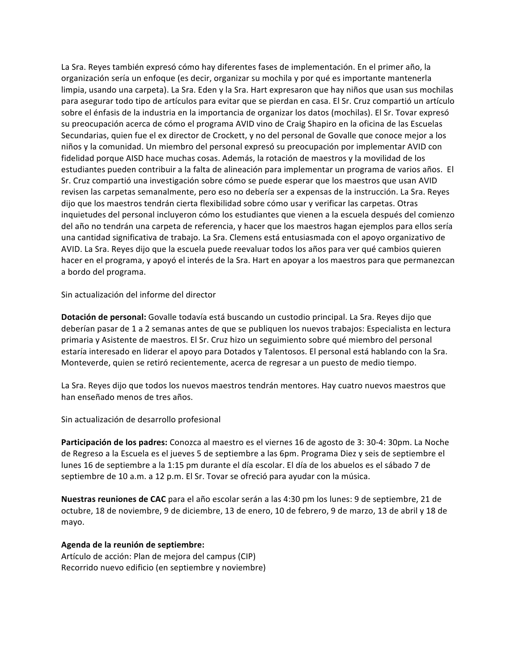La Sra. Reyes también expresó cómo hay diferentes fases de implementación. En el primer año, la organización sería un enfoque (es decir, organizar su mochila y por qué es importante mantenerla limpia, usando una carpeta). La Sra. Eden y la Sra. Hart expresaron que hay niños que usan sus mochilas para asegurar todo tipo de artículos para evitar que se pierdan en casa. El Sr. Cruz compartió un artículo sobre el énfasis de la industria en la importancia de organizar los datos (mochilas). El Sr. Tovar expresó su preocupación acerca de cómo el programa AVID vino de Craig Shapiro en la oficina de las Escuelas Secundarias, quien fue el ex director de Crockett, y no del personal de Govalle que conoce mejor a los niños y la comunidad. Un miembro del personal expresó su preocupación por implementar AVID con fidelidad porque AISD hace muchas cosas. Además, la rotación de maestros y la movilidad de los estudiantes pueden contribuir a la falta de alineación para implementar un programa de varios años. El Sr. Cruz compartió una investigación sobre cómo se puede esperar que los maestros que usan AVID revisen las carpetas semanalmente, pero eso no debería ser a expensas de la instrucción. La Sra. Reyes dijo que los maestros tendrán cierta flexibilidad sobre cómo usar y verificar las carpetas. Otras inquietudes del personal incluyeron cómo los estudiantes que vienen a la escuela después del comienzo del año no tendrán una carpeta de referencia, y hacer que los maestros hagan ejemplos para ellos sería una cantidad significativa de trabajo. La Sra. Clemens está entusiasmada con el apoyo organizativo de AVID. La Sra. Reyes dijo que la escuela puede reevaluar todos los años para ver qué cambios quieren hacer en el programa, y apoyó el interés de la Sra. Hart en apoyar a los maestros para que permanezcan a bordo del programa.

Sin actualización del informe del director

**Dotación de personal:** Govalle todavía está buscando un custodio principal. La Sra. Reyes dijo que deberían pasar de 1 a 2 semanas antes de que se publiquen los nuevos trabajos: Especialista en lectura primaria y Asistente de maestros. El Sr. Cruz hizo un seguimiento sobre qué miembro del personal estaría interesado en liderar el apoyo para Dotados y Talentosos. El personal está hablando con la Sra. Monteverde, quien se retiró recientemente, acerca de regresar a un puesto de medio tiempo.

La Sra. Reyes dijo que todos los nuevos maestros tendrán mentores. Hay cuatro nuevos maestros que han enseñado menos de tres años.

Sin actualización de desarrollo profesional

**Participación de los padres:** Conozca al maestro es el viernes 16 de agosto de 3: 30-4: 30pm. La Noche de Regreso a la Escuela es el jueves 5 de septiembre a las 6pm. Programa Diez y seis de septiembre el lunes 16 de septiembre a la 1:15 pm durante el día escolar. El día de los abuelos es el sábado 7 de septiembre de 10 a.m. a 12 p.m. El Sr. Tovar se ofreció para ayudar con la música.

**Nuestras reuniones de CAC** para el año escolar serán a las 4:30 pm los lunes: 9 de septiembre, 21 de octubre, 18 de noviembre, 9 de diciembre, 13 de enero, 10 de febrero, 9 de marzo, 13 de abril y 18 de mayo.

#### **Agenda de la reunión de septiembre:**

Artículo de acción: Plan de mejora del campus (CIP) Recorrido nuevo edificio (en septiembre y noviembre)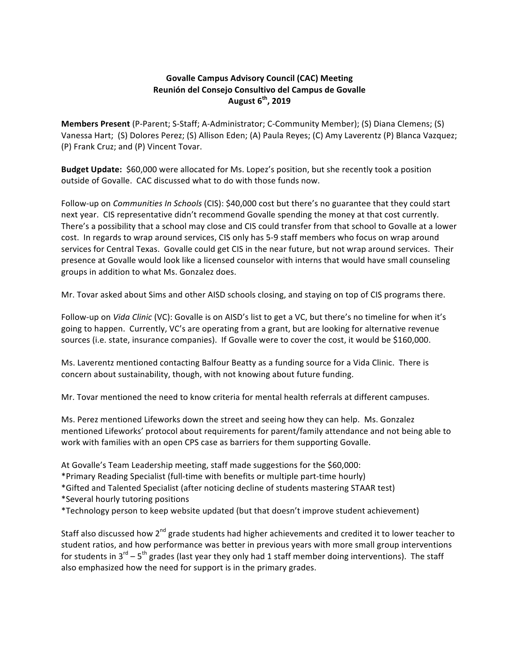# **Govalle Campus Advisory Council (CAC) Meeting Reunión del Consejo Consultivo del Campus de Govalle August 6th, 2019**

**Members Present** (P-Parent; S-Staff; A-Administrator; C-Community Member); (S) Diana Clemens; (S) Vanessa Hart; (S) Dolores Perez; (S) Allison Eden; (A) Paula Reyes; (C) Amy Laverentz (P) Blanca Vazquez; (P) Frank Cruz; and (P) Vincent Tovar.

**Budget Update:** \$60,000 were allocated for Ms. Lopez's position, but she recently took a position outside of Govalle. CAC discussed what to do with those funds now.

Follow-up on *Communities In Schools* (CIS): \$40,000 cost but there's no guarantee that they could start next year. CIS representative didn't recommend Govalle spending the money at that cost currently. There's a possibility that a school may close and CIS could transfer from that school to Govalle at a lower cost. In regards to wrap around services, CIS only has 5-9 staff members who focus on wrap around services for Central Texas. Govalle could get CIS in the near future, but not wrap around services. Their presence at Govalle would look like a licensed counselor with interns that would have small counseling groups in addition to what Ms. Gonzalez does.

Mr. Tovar asked about Sims and other AISD schools closing, and staying on top of CIS programs there.

Follow-up on *Vida Clinic* (VC): Govalle is on AISD's list to get a VC, but there's no timeline for when it's going to happen. Currently, VC's are operating from a grant, but are looking for alternative revenue sources (i.e. state, insurance companies). If Govalle were to cover the cost, it would be \$160,000.

Ms. Laverentz mentioned contacting Balfour Beatty as a funding source for a Vida Clinic. There is concern about sustainability, though, with not knowing about future funding.

Mr. Tovar mentioned the need to know criteria for mental health referrals at different campuses.

Ms. Perez mentioned Lifeworks down the street and seeing how they can help. Ms. Gonzalez mentioned Lifeworks' protocol about requirements for parent/family attendance and not being able to work with families with an open CPS case as barriers for them supporting Govalle.

At Govalle's Team Leadership meeting, staff made suggestions for the \$60,000:

\*Primary Reading Specialist (full-time with benefits or multiple part-time hourly)

\*Gifted and Talented Specialist (after noticing decline of students mastering STAAR test)

\*Several hourly tutoring positions 

\*Technology person to keep website updated (but that doesn't improve student achievement)

Staff also discussed how  $2^{nd}$  grade students had higher achievements and credited it to lower teacher to student ratios, and how performance was better in previous years with more small group interventions for students in  $3^{rd}$  –  $5^{th}$  grades (last year they only had 1 staff member doing interventions). The staff also emphasized how the need for support is in the primary grades.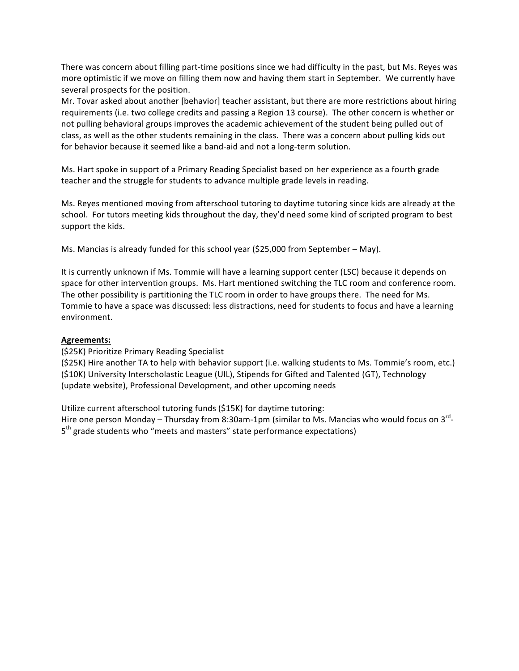There was concern about filling part-time positions since we had difficulty in the past, but Ms. Reyes was more optimistic if we move on filling them now and having them start in September. We currently have several prospects for the position.

Mr. Tovar asked about another [behavior] teacher assistant, but there are more restrictions about hiring requirements (i.e. two college credits and passing a Region 13 course). The other concern is whether or not pulling behavioral groups improves the academic achievement of the student being pulled out of class, as well as the other students remaining in the class. There was a concern about pulling kids out for behavior because it seemed like a band-aid and not a long-term solution.

Ms. Hart spoke in support of a Primary Reading Specialist based on her experience as a fourth grade teacher and the struggle for students to advance multiple grade levels in reading.

Ms. Reyes mentioned moving from afterschool tutoring to daytime tutoring since kids are already at the school. For tutors meeting kids throughout the day, they'd need some kind of scripted program to best support the kids.

Ms. Mancias is already funded for this school year  $(525,000$  from September – May).

It is currently unknown if Ms. Tommie will have a learning support center (LSC) because it depends on space for other intervention groups. Ms. Hart mentioned switching the TLC room and conference room. The other possibility is partitioning the TLC room in order to have groups there. The need for Ms. Tommie to have a space was discussed: less distractions, need for students to focus and have a learning environment. 

## **Agreements:**

(\$25K) Prioritize Primary Reading Specialist

(\$25K) Hire another TA to help with behavior support (i.e. walking students to Ms. Tommie's room, etc.) (\$10K) University Interscholastic League (UIL), Stipends for Gifted and Talented (GT), Technology (update website), Professional Development, and other upcoming needs

Utilize current afterschool tutoring funds (\$15K) for daytime tutoring:

Hire one person Monday – Thursday from 8:30am-1pm (similar to Ms. Mancias who would focus on 3<sup>rd</sup>- $5<sup>th</sup>$  grade students who "meets and masters" state performance expectations)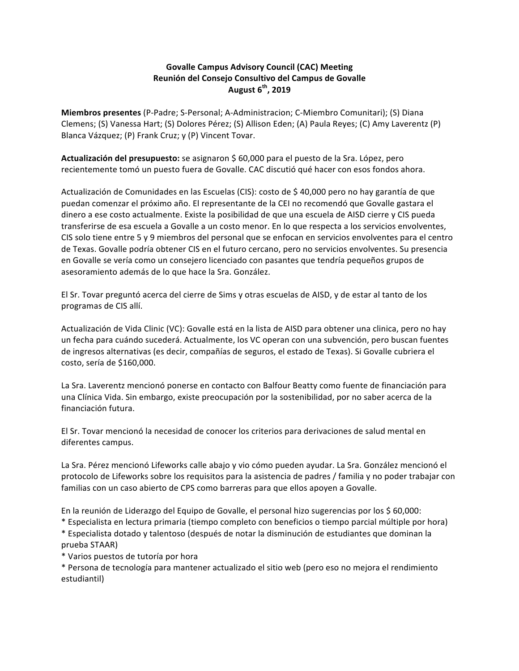# **Govalle Campus Advisory Council (CAC) Meeting Reunión del Consejo Consultivo del Campus de Govalle August 6th, 2019**

**Miembros presentes** (P-Padre; S-Personal; A-Administracion; C-Miembro Comunitari); (S) Diana Clemens; (S) Vanessa Hart; (S) Dolores Pérez; (S) Allison Eden; (A) Paula Reyes; (C) Amy Laverentz (P) Blanca Vázquez; (P) Frank Cruz; y (P) Vincent Tovar.

Actualización del presupuesto: se asignaron \$ 60,000 para el puesto de la Sra. López, pero recientemente tomó un puesto fuera de Govalle. CAC discutió qué hacer con esos fondos ahora.

Actualización de Comunidades en las Escuelas (CIS): costo de \$ 40,000 pero no hay garantía de que puedan comenzar el próximo año. El representante de la CEI no recomendó que Govalle gastara el dinero a ese costo actualmente. Existe la posibilidad de que una escuela de AISD cierre y CIS pueda transferirse de esa escuela a Govalle a un costo menor. En lo que respecta a los servicios envolventes, CIS solo tiene entre 5 y 9 miembros del personal que se enfocan en servicios envolventes para el centro de Texas. Govalle podría obtener CIS en el futuro cercano, pero no servicios envolventes. Su presencia en Govalle se vería como un consejero licenciado con pasantes que tendría pequeños grupos de asesoramiento además de lo que hace la Sra. González.

El Sr. Tovar preguntó acerca del cierre de Sims y otras escuelas de AISD, y de estar al tanto de los programas de CIS allí.

Actualización de Vida Clinic (VC): Govalle está en la lista de AISD para obtener una clinica, pero no hay un fecha para cuándo sucederá. Actualmente, los VC operan con una subvención, pero buscan fuentes de ingresos alternativas (es decir, compañías de seguros, el estado de Texas). Si Govalle cubriera el costo, sería de \$160,000.

La Sra. Laverentz mencionó ponerse en contacto con Balfour Beatty como fuente de financiación para una Clínica Vida. Sin embargo, existe preocupación por la sostenibilidad, por no saber acerca de la financiación futura.

El Sr. Tovar mencionó la necesidad de conocer los criterios para derivaciones de salud mental en diferentes campus.

La Sra. Pérez mencionó Lifeworks calle abajo y vio cómo pueden ayudar. La Sra. González mencionó el protocolo de Lifeworks sobre los requisitos para la asistencia de padres / familia y no poder trabajar con familias con un caso abierto de CPS como barreras para que ellos apoyen a Govalle.

En la reunión de Liderazgo del Equipo de Govalle, el personal hizo sugerencias por los \$ 60,000:

\* Especialista en lectura primaria (tiempo completo con beneficios o tiempo parcial múltiple por hora)

\* Especialista dotado y talentoso (después de notar la disminución de estudiantes que dominan la prueba STAAR)

\* Varios puestos de tutoría por hora

\* Persona de tecnología para mantener actualizado el sitio web (pero eso no mejora el rendimiento estudiantil)